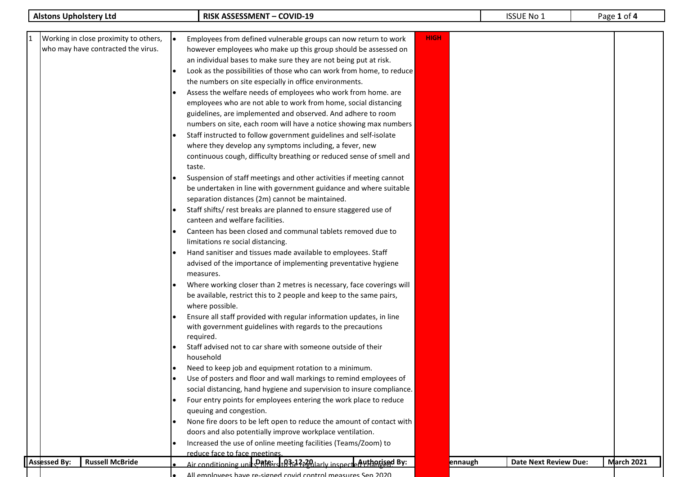|                               |                                                                             |                                                                                                                                                                                                                                                                                                                                                                                                                                                                                                                                                                                                                                                                                                                                                                                                                                                                                                                                                                                                                                                                                                                                                                                                                                                                                                                                                                                                                                                                                                                                                                                                                                                                                                                                                                                                                                                                                            |             |         | <b>ISSUE No 1</b>            |                   |
|-------------------------------|-----------------------------------------------------------------------------|--------------------------------------------------------------------------------------------------------------------------------------------------------------------------------------------------------------------------------------------------------------------------------------------------------------------------------------------------------------------------------------------------------------------------------------------------------------------------------------------------------------------------------------------------------------------------------------------------------------------------------------------------------------------------------------------------------------------------------------------------------------------------------------------------------------------------------------------------------------------------------------------------------------------------------------------------------------------------------------------------------------------------------------------------------------------------------------------------------------------------------------------------------------------------------------------------------------------------------------------------------------------------------------------------------------------------------------------------------------------------------------------------------------------------------------------------------------------------------------------------------------------------------------------------------------------------------------------------------------------------------------------------------------------------------------------------------------------------------------------------------------------------------------------------------------------------------------------------------------------------------------------|-------------|---------|------------------------------|-------------------|
| <b>Alstons Upholstery Ltd</b> | Working in close proximity to others,<br>who may have contracted the virus. | <b>RISK ASSESSMENT - COVID-19</b><br>Employees from defined vulnerable groups can now return to work<br>however employees who make up this group should be assessed on<br>an individual bases to make sure they are not being put at risk.<br>Look as the possibilities of those who can work from home, to reduce<br>the numbers on site especially in office environments.<br>Assess the welfare needs of employees who work from home. are<br>employees who are not able to work from home, social distancing<br>guidelines, are implemented and observed. And adhere to room<br>numbers on site, each room will have a notice showing max numbers<br>Staff instructed to follow government guidelines and self-isolate<br>where they develop any symptoms including, a fever, new<br>continuous cough, difficulty breathing or reduced sense of smell and<br>taste.<br>Suspension of staff meetings and other activities if meeting cannot<br>be undertaken in line with government guidance and where suitable<br>separation distances (2m) cannot be maintained.<br>Staff shifts/rest breaks are planned to ensure staggered use of<br>canteen and welfare facilities.<br>Canteen has been closed and communal tablets removed due to<br>limitations re social distancing.<br>Hand sanitiser and tissues made available to employees. Staff<br>advised of the importance of implementing preventative hygiene<br>measures.<br>Where working closer than 2 metres is necessary, face coverings will<br>be available, restrict this to 2 people and keep to the same pairs,<br>where possible.<br>Ensure all staff provided with regular information updates, in line<br>with government guidelines with regards to the precautions<br>required.<br>Staff advised not to car share with someone outside of their<br>household<br>Need to keep job and equipment rotation to a minimum. | <b>HIGH</b> |         |                              | Page 1 of 4       |
|                               |                                                                             |                                                                                                                                                                                                                                                                                                                                                                                                                                                                                                                                                                                                                                                                                                                                                                                                                                                                                                                                                                                                                                                                                                                                                                                                                                                                                                                                                                                                                                                                                                                                                                                                                                                                                                                                                                                                                                                                                            |             |         |                              |                   |
|                               |                                                                             |                                                                                                                                                                                                                                                                                                                                                                                                                                                                                                                                                                                                                                                                                                                                                                                                                                                                                                                                                                                                                                                                                                                                                                                                                                                                                                                                                                                                                                                                                                                                                                                                                                                                                                                                                                                                                                                                                            |             |         |                              |                   |
|                               |                                                                             |                                                                                                                                                                                                                                                                                                                                                                                                                                                                                                                                                                                                                                                                                                                                                                                                                                                                                                                                                                                                                                                                                                                                                                                                                                                                                                                                                                                                                                                                                                                                                                                                                                                                                                                                                                                                                                                                                            |             |         |                              |                   |
|                               |                                                                             | Use of posters and floor and wall markings to remind employees of                                                                                                                                                                                                                                                                                                                                                                                                                                                                                                                                                                                                                                                                                                                                                                                                                                                                                                                                                                                                                                                                                                                                                                                                                                                                                                                                                                                                                                                                                                                                                                                                                                                                                                                                                                                                                          |             |         |                              |                   |
|                               |                                                                             | social distancing, hand hygiene and supervision to insure compliance.                                                                                                                                                                                                                                                                                                                                                                                                                                                                                                                                                                                                                                                                                                                                                                                                                                                                                                                                                                                                                                                                                                                                                                                                                                                                                                                                                                                                                                                                                                                                                                                                                                                                                                                                                                                                                      |             |         |                              |                   |
|                               |                                                                             | Four entry points for employees entering the work place to reduce<br>queuing and congestion.                                                                                                                                                                                                                                                                                                                                                                                                                                                                                                                                                                                                                                                                                                                                                                                                                                                                                                                                                                                                                                                                                                                                                                                                                                                                                                                                                                                                                                                                                                                                                                                                                                                                                                                                                                                               |             |         |                              |                   |
|                               |                                                                             | None fire doors to be left open to reduce the amount of contact with                                                                                                                                                                                                                                                                                                                                                                                                                                                                                                                                                                                                                                                                                                                                                                                                                                                                                                                                                                                                                                                                                                                                                                                                                                                                                                                                                                                                                                                                                                                                                                                                                                                                                                                                                                                                                       |             |         |                              |                   |
|                               |                                                                             | doors and also potentially improve workplace ventilation.                                                                                                                                                                                                                                                                                                                                                                                                                                                                                                                                                                                                                                                                                                                                                                                                                                                                                                                                                                                                                                                                                                                                                                                                                                                                                                                                                                                                                                                                                                                                                                                                                                                                                                                                                                                                                                  |             |         |                              |                   |
|                               |                                                                             | Increased the use of online meeting facilities (Teams/Zoom) to                                                                                                                                                                                                                                                                                                                                                                                                                                                                                                                                                                                                                                                                                                                                                                                                                                                                                                                                                                                                                                                                                                                                                                                                                                                                                                                                                                                                                                                                                                                                                                                                                                                                                                                                                                                                                             |             |         |                              |                   |
|                               |                                                                             | reduce face to face meetings.                                                                                                                                                                                                                                                                                                                                                                                                                                                                                                                                                                                                                                                                                                                                                                                                                                                                                                                                                                                                                                                                                                                                                                                                                                                                                                                                                                                                                                                                                                                                                                                                                                                                                                                                                                                                                                                              |             |         |                              |                   |
| <b>Assessed By:</b>           | <b>Russell McBride</b>                                                      | Air conditioning units Patters 1:03:22 Pularly inspected uthorized By:                                                                                                                                                                                                                                                                                                                                                                                                                                                                                                                                                                                                                                                                                                                                                                                                                                                                                                                                                                                                                                                                                                                                                                                                                                                                                                                                                                                                                                                                                                                                                                                                                                                                                                                                                                                                                     |             | ennaugh | <b>Date Next Review Due:</b> | <b>March 2021</b> |
|                               |                                                                             | All employees have re-signed covid control measures Sep 2020                                                                                                                                                                                                                                                                                                                                                                                                                                                                                                                                                                                                                                                                                                                                                                                                                                                                                                                                                                                                                                                                                                                                                                                                                                                                                                                                                                                                                                                                                                                                                                                                                                                                                                                                                                                                                               |             |         |                              |                   |
|                               |                                                                             |                                                                                                                                                                                                                                                                                                                                                                                                                                                                                                                                                                                                                                                                                                                                                                                                                                                                                                                                                                                                                                                                                                                                                                                                                                                                                                                                                                                                                                                                                                                                                                                                                                                                                                                                                                                                                                                                                            |             |         |                              |                   |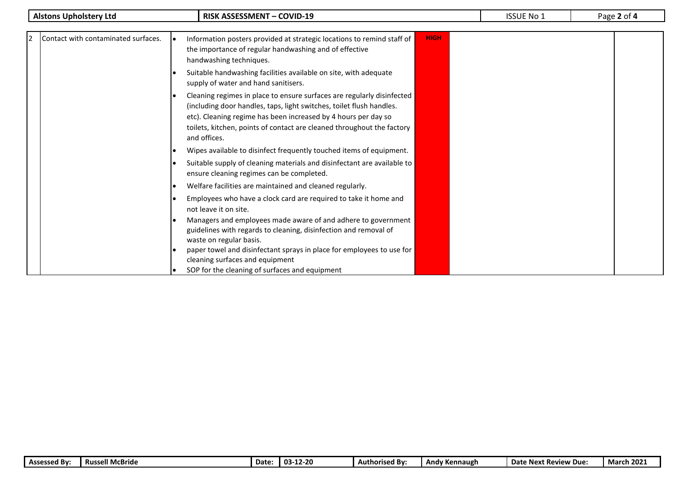| <b>Alstons Upholstery Ltd</b>              | <b>RISK ASSESSMENT - COVID-19</b>                                                                                                                                                                                                                                                                          | <b>ISSUE No 1</b> | Page 2 of 4 |
|--------------------------------------------|------------------------------------------------------------------------------------------------------------------------------------------------------------------------------------------------------------------------------------------------------------------------------------------------------------|-------------------|-------------|
|                                            |                                                                                                                                                                                                                                                                                                            |                   |             |
| Contact with contaminated surfaces.<br>12. | <b>HIGH</b><br>Information posters provided at strategic locations to remind staff of<br>the importance of regular handwashing and of effective<br>handwashing techniques.                                                                                                                                 |                   |             |
|                                            | Suitable handwashing facilities available on site, with adequate<br>supply of water and hand sanitisers.                                                                                                                                                                                                   |                   |             |
|                                            | Cleaning regimes in place to ensure surfaces are regularly disinfected<br>(including door handles, taps, light switches, toilet flush handles.<br>etc). Cleaning regime has been increased by 4 hours per day so<br>toilets, kitchen, points of contact are cleaned throughout the factory<br>and offices. |                   |             |
|                                            | Wipes available to disinfect frequently touched items of equipment.                                                                                                                                                                                                                                        |                   |             |
|                                            | Suitable supply of cleaning materials and disinfectant are available to<br>ensure cleaning regimes can be completed.                                                                                                                                                                                       |                   |             |
|                                            | Welfare facilities are maintained and cleaned regularly.                                                                                                                                                                                                                                                   |                   |             |
|                                            | Employees who have a clock card are required to take it home and<br>not leave it on site.                                                                                                                                                                                                                  |                   |             |
|                                            | Managers and employees made aware of and adhere to government<br>guidelines with regards to cleaning, disinfection and removal of<br>waste on regular basis.                                                                                                                                               |                   |             |
|                                            | paper towel and disinfectant sprays in place for employees to use for<br>cleaning surfaces and equipment                                                                                                                                                                                                   |                   |             |
|                                            | SOP for the cleaning of surfaces and equipment                                                                                                                                                                                                                                                             |                   |             |

| <b>Assessed By:</b> | <b>Russell McBride</b> | Date: | 12-20<br>-03 | <b>Authorised By:</b> | <b>Kennaugh</b><br>'And | <b>LLE Next Review</b><br>Date<br>Due: | 202.<br>March |
|---------------------|------------------------|-------|--------------|-----------------------|-------------------------|----------------------------------------|---------------|
|---------------------|------------------------|-------|--------------|-----------------------|-------------------------|----------------------------------------|---------------|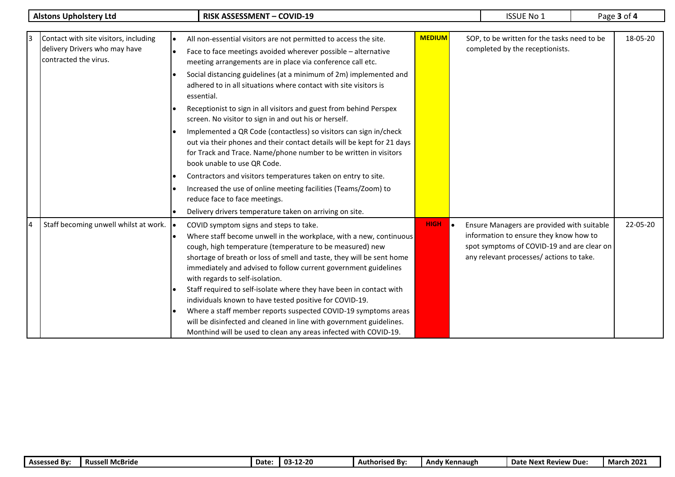| <b>Alstons Upholstery Ltd</b> |                                                                                                 |  | <b>RISK ASSESSMENT - COVID-19</b>                                                                                                                                                                                                                                                                                                                                                                                                                                                         | <b>ISSUE No 1</b> | Page 3 of 4 |                                                                                                                                                                                |          |
|-------------------------------|-------------------------------------------------------------------------------------------------|--|-------------------------------------------------------------------------------------------------------------------------------------------------------------------------------------------------------------------------------------------------------------------------------------------------------------------------------------------------------------------------------------------------------------------------------------------------------------------------------------------|-------------------|-------------|--------------------------------------------------------------------------------------------------------------------------------------------------------------------------------|----------|
|                               |                                                                                                 |  |                                                                                                                                                                                                                                                                                                                                                                                                                                                                                           |                   |             |                                                                                                                                                                                |          |
|                               | Contact with site visitors, including<br>delivery Drivers who may have<br>contracted the virus. |  | All non-essential visitors are not permitted to access the site.<br>Face to face meetings avoided wherever possible - alternative                                                                                                                                                                                                                                                                                                                                                         | <b>MEDIUM</b>     |             | SOP, to be written for the tasks need to be<br>completed by the receptionists.                                                                                                 | 18-05-20 |
|                               |                                                                                                 |  | meeting arrangements are in place via conference call etc.<br>Social distancing guidelines (at a minimum of 2m) implemented and<br>adhered to in all situations where contact with site visitors is<br>essential.                                                                                                                                                                                                                                                                         |                   |             |                                                                                                                                                                                |          |
|                               |                                                                                                 |  | Receptionist to sign in all visitors and guest from behind Perspex<br>screen. No visitor to sign in and out his or herself.                                                                                                                                                                                                                                                                                                                                                               |                   |             |                                                                                                                                                                                |          |
|                               |                                                                                                 |  | Implemented a QR Code (contactless) so visitors can sign in/check<br>out via their phones and their contact details will be kept for 21 days<br>for Track and Trace. Name/phone number to be written in visitors<br>book unable to use QR Code.                                                                                                                                                                                                                                           |                   |             |                                                                                                                                                                                |          |
|                               |                                                                                                 |  | Contractors and visitors temperatures taken on entry to site.                                                                                                                                                                                                                                                                                                                                                                                                                             |                   |             |                                                                                                                                                                                |          |
|                               |                                                                                                 |  | Increased the use of online meeting facilities (Teams/Zoom) to<br>reduce face to face meetings.                                                                                                                                                                                                                                                                                                                                                                                           |                   |             |                                                                                                                                                                                |          |
|                               |                                                                                                 |  | Delivery drivers temperature taken on arriving on site.                                                                                                                                                                                                                                                                                                                                                                                                                                   |                   |             |                                                                                                                                                                                |          |
|                               | Staff becoming unwell whilst at work.                                                           |  | COVID symptom signs and steps to take.<br>Where staff become unwell in the workplace, with a new, continuous<br>cough, high temperature (temperature to be measured) new<br>shortage of breath or loss of smell and taste, they will be sent home<br>immediately and advised to follow current government guidelines<br>with regards to self-isolation.<br>Staff required to self-isolate where they have been in contact with<br>individuals known to have tested positive for COVID-19. | <b>HIGH</b>       | $\bullet$   | Ensure Managers are provided with suitable<br>information to ensure they know how to<br>spot symptoms of COVID-19 and are clear on<br>any relevant processes/ actions to take. | 22-05-20 |
|                               |                                                                                                 |  | Where a staff member reports suspected COVID-19 symptoms areas<br>will be disinfected and cleaned in line with government guidelines.<br>Monthind will be used to clean any areas infected with COVID-19.                                                                                                                                                                                                                                                                                 |                   |             |                                                                                                                                                                                |          |